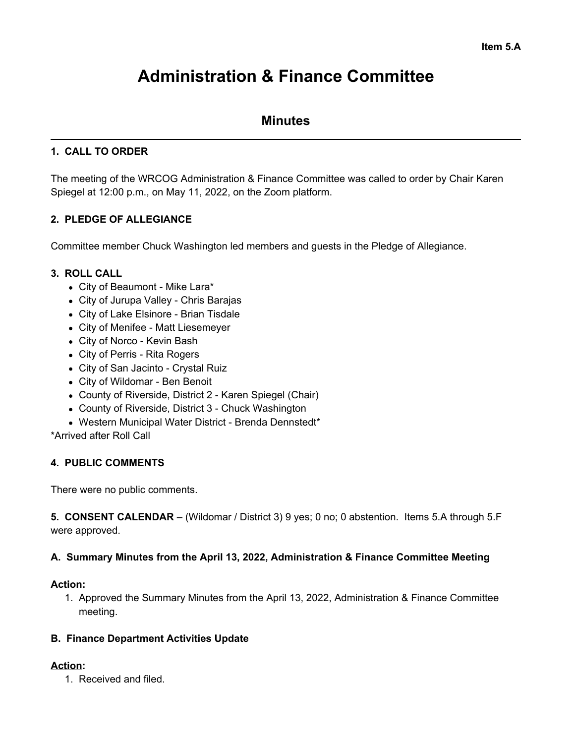# **Administration & Finance Committee**

# **Minutes**

## **1. CALL TO ORDER**

The meeting of the WRCOG Administration & Finance Committee was called to order by Chair Karen Spiegel at 12:00 p.m., on May 11, 2022, on the Zoom platform.

# **2. PLEDGE OF ALLEGIANCE**

Committee member Chuck Washington led members and guests in the Pledge of Allegiance.

## **3. ROLL CALL**

- City of Beaumont Mike Lara\*
- City of Jurupa Valley Chris Barajas
- City of Lake Elsinore Brian Tisdale
- City of Menifee Matt Liesemeyer
- City of Norco Kevin Bash
- City of Perris Rita Rogers
- City of San Jacinto Crystal Ruiz
- City of Wildomar Ben Benoit
- County of Riverside, District 2 Karen Spiegel (Chair)
- County of Riverside, District 3 Chuck Washington
- Western Municipal Water District Brenda Dennstedt\*

\*Arrived after Roll Call

## **4. PUBLIC COMMENTS**

There were no public comments.

**5. CONSENT CALENDAR** – (Wildomar / District 3) 9 yes; 0 no; 0 abstention. Items 5.A through 5.F were approved.

#### **A. Summary Minutes from the April 13, 2022, Administration & Finance Committee Meeting**

#### **Action:**

1. Approved the Summary Minutes from the April 13, 2022, Administration & Finance Committee meeting.

#### **B. Finance Department Activities Update**

#### **Action:**

1. Received and filed.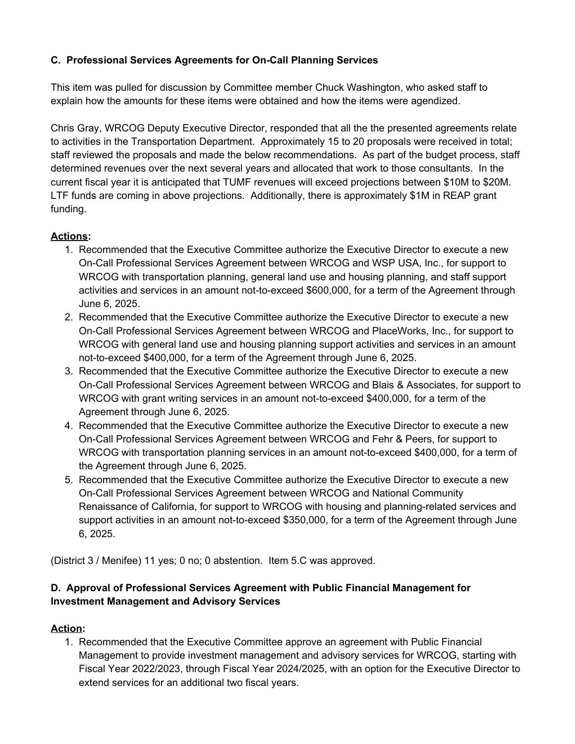## **C. Professional Services Agreements for On-Call Planning Services**

This item was pulled for discussion by Committee member Chuck Washington, who asked staff to explain how the amounts for these items were obtained and how the items were agendized.

Chris Gray, WRCOG Deputy Executive Director, responded that all the the presented agreements relate to activities in the Transportation Department. Approximately 15 to 20 proposals were received in total; staff reviewed the proposals and made the below recommendations. As part of the budget process, staff determined revenues over the next several years and allocated that work to those consultants. In the current fiscal year it is anticipated that TUMF revenues will exceed projections between \$10M to \$20M. LTF funds are coming in above projections. Additionally, there is approximately \$1M in REAP grant funding.

# **Actions:**

- 1. Recommended that the Executive Committee authorize the Executive Director to execute a new On-Call Professional Services Agreement between WRCOG and WSP USA, Inc., for support to WRCOG with transportation planning, general land use and housing planning, and staff support activities and services in an amount not-to-exceed \$600,000, for a term of the Agreement through June 6, 2025.
- 2. Recommended that the Executive Committee authorize the Executive Director to execute a new On-Call Professional Services Agreement between WRCOG and PlaceWorks, Inc., for support to WRCOG with general land use and housing planning support activities and services in an amount not-to-exceed \$400,000, for a term of the Agreement through June 6, 2025.
- 3. Recommended that the Executive Committee authorize the Executive Director to execute a new On-Call Professional Services Agreement between WRCOG and Blais & Associates, for support to WRCOG with grant writing services in an amount not-to-exceed \$400,000, for a term of the Agreement through June 6, 2025.
- 4. Recommended that the Executive Committee authorize the Executive Director to execute a new On-Call Professional Services Agreement between WRCOG and Fehr & Peers, for support to WRCOG with transportation planning services in an amount not-to-exceed \$400,000, for a term of the Agreement through June 6, 2025.
- 5. Recommended that the Executive Committee authorize the Executive Director to execute a new On-Call Professional Services Agreement between WRCOG and National Community Renaissance of California, for support to WRCOG with housing and planning-related services and support activities in an amount not-to-exceed \$350,000, for a term of the Agreement through June 6, 2025.

(District 3 / Menifee) 11 yes; 0 no; 0 abstention. Item 5.C was approved.

# **D. Approval of Professional Services Agreement with Public Financial Management for Investment Management and Advisory Services**

# **Action:**

1. Recommended that the Executive Committee approve an agreement with Public Financial Management to provide investment management and advisory services for WRCOG, starting with Fiscal Year 2022/2023, through Fiscal Year 2024/2025, with an option for the Executive Director to extend services for an additional two fiscal years.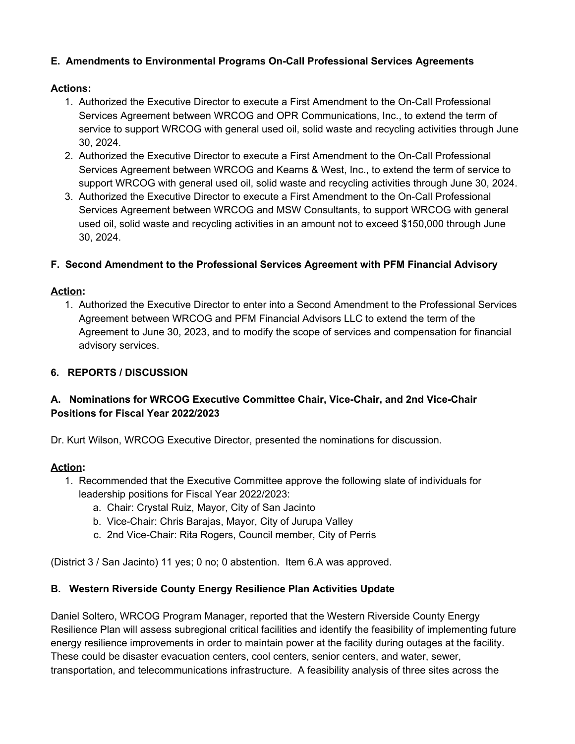## **E. Amendments to Environmental Programs On-Call Professional Services Agreements**

## **Actions:**

- 1. Authorized the Executive Director to execute a First Amendment to the On-Call Professional Services Agreement between WRCOG and OPR Communications, Inc., to extend the term of service to support WRCOG with general used oil, solid waste and recycling activities through June 30, 2024.
- 2. Authorized the Executive Director to execute a First Amendment to the On-Call Professional Services Agreement between WRCOG and Kearns & West, Inc., to extend the term of service to support WRCOG with general used oil, solid waste and recycling activities through June 30, 2024.
- 3. Authorized the Executive Director to execute a First Amendment to the On-Call Professional Services Agreement between WRCOG and MSW Consultants, to support WRCOG with general used oil, solid waste and recycling activities in an amount not to exceed \$150,000 through June 30, 2024.

# **F. Second Amendment to the Professional Services Agreement with PFM Financial Advisory**

## **Action:**

1. Authorized the Executive Director to enter into a Second Amendment to the Professional Services Agreement between WRCOG and PFM Financial Advisors LLC to extend the term of the Agreement to June 30, 2023, and to modify the scope of services and compensation for financial advisory services.

# **6. REPORTS / DISCUSSION**

# **A. Nominations for WRCOG Executive Committee Chair, Vice-Chair, and 2nd Vice-Chair Positions for Fiscal Year 2022/2023**

Dr. Kurt Wilson, WRCOG Executive Director, presented the nominations for discussion.

## **Action:**

- 1. Recommended that the Executive Committee approve the following slate of individuals for leadership positions for Fiscal Year 2022/2023:
	- a. Chair: Crystal Ruiz, Mayor, City of San Jacinto
	- b. Vice-Chair: Chris Barajas, Mayor, City of Jurupa Valley
	- c. 2nd Vice-Chair: Rita Rogers, Council member, City of Perris

(District 3 / San Jacinto) 11 yes; 0 no; 0 abstention. Item 6.A was approved.

# **B. Western Riverside County Energy Resilience Plan Activities Update**

Daniel Soltero, WRCOG Program Manager, reported that the Western Riverside County Energy Resilience Plan will assess subregional critical facilities and identify the feasibility of implementing future energy resilience improvements in order to maintain power at the facility during outages at the facility. These could be disaster evacuation centers, cool centers, senior centers, and water, sewer, transportation, and telecommunications infrastructure. A feasibility analysis of three sites across the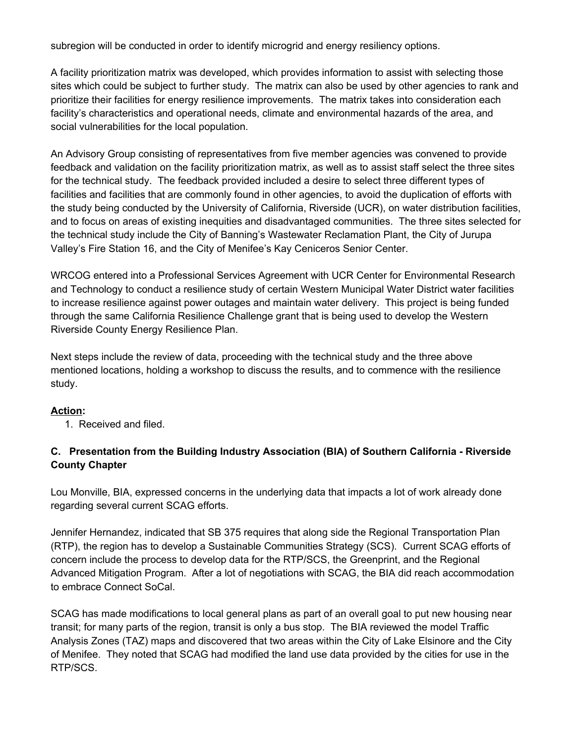subregion will be conducted in order to identify microgrid and energy resiliency options.

A facility prioritization matrix was developed, which provides information to assist with selecting those sites which could be subject to further study. The matrix can also be used by other agencies to rank and prioritize their facilities for energy resilience improvements. The matrix takes into consideration each facility's characteristics and operational needs, climate and environmental hazards of the area, and social vulnerabilities for the local population.

An Advisory Group consisting of representatives from five member agencies was convened to provide feedback and validation on the facility prioritization matrix, as well as to assist staff select the three sites for the technical study. The feedback provided included a desire to select three different types of facilities and facilities that are commonly found in other agencies, to avoid the duplication of efforts with the study being conducted by the University of California, Riverside (UCR), on water distribution facilities, and to focus on areas of existing inequities and disadvantaged communities. The three sites selected for the technical study include the City of Banning's Wastewater Reclamation Plant, the City of Jurupa Valley's Fire Station 16, and the City of Menifee's Kay Ceniceros Senior Center.

WRCOG entered into a Professional Services Agreement with UCR Center for Environmental Research and Technology to conduct a resilience study of certain Western Municipal Water District water facilities to increase resilience against power outages and maintain water delivery. This project is being funded through the same California Resilience Challenge grant that is being used to develop the Western Riverside County Energy Resilience Plan.

Next steps include the review of data, proceeding with the technical study and the three above mentioned locations, holding a workshop to discuss the results, and to commence with the resilience study.

## **Action:**

1. Received and filed.

# **C. Presentation from the Building Industry Association (BIA) of Southern California - Riverside County Chapter**

Lou Monville, BIA, expressed concerns in the underlying data that impacts a lot of work already done regarding several current SCAG efforts.

Jennifer Hernandez, indicated that SB 375 requires that along side the Regional Transportation Plan (RTP), the region has to develop a Sustainable Communities Strategy (SCS). Current SCAG efforts of concern include the process to develop data for the RTP/SCS, the Greenprint, and the Regional Advanced Mitigation Program. After a lot of negotiations with SCAG, the BIA did reach accommodation to embrace Connect SoCal.

SCAG has made modifications to local general plans as part of an overall goal to put new housing near transit; for many parts of the region, transit is only a bus stop. The BIA reviewed the model Traffic Analysis Zones (TAZ) maps and discovered that two areas within the City of Lake Elsinore and the City of Menifee. They noted that SCAG had modified the land use data provided by the cities for use in the RTP/SCS.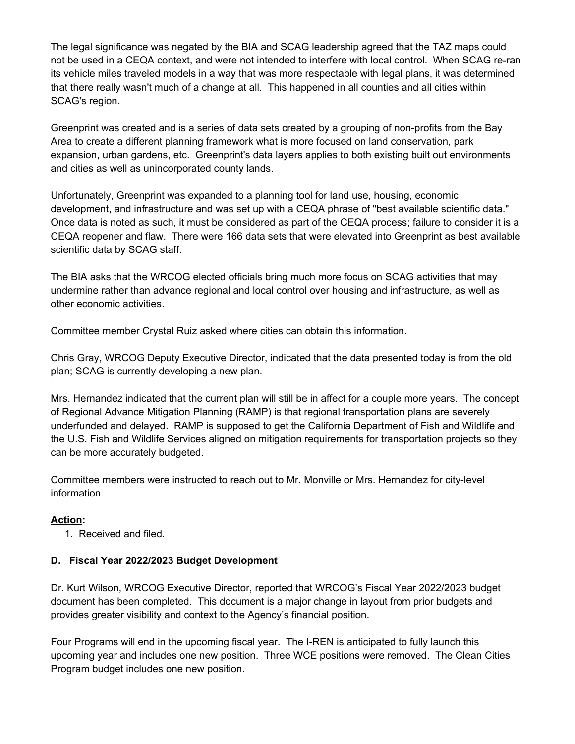The legal significance was negated by the BIA and SCAG leadership agreed that the TAZ maps could not be used in a CEQA context, and were not intended to interfere with local control. When SCAG re-ran its vehicle miles traveled models in a way that was more respectable with legal plans, it was determined that there really wasn't much of a change at all. This happened in all counties and all cities within SCAG's region.

Greenprint was created and is a series of data sets created by a grouping of non-profits from the Bay Area to create a different planning framework what is more focused on land conservation, park expansion, urban gardens, etc. Greenprint's data layers applies to both existing built out environments and cities as well as unincorporated county lands.

Unfortunately, Greenprint was expanded to a planning tool for land use, housing, economic development, and infrastructure and was set up with a CEQA phrase of "best available scientific data." Once data is noted as such, it must be considered as part of the CEQA process; failure to consider it is a CEQA reopener and flaw. There were 166 data sets that were elevated into Greenprint as best available scientific data by SCAG staff.

The BIA asks that the WRCOG elected officials bring much more focus on SCAG activities that may undermine rather than advance regional and local control over housing and infrastructure, as well as other economic activities.

Committee member Crystal Ruiz asked where cities can obtain this information.

Chris Gray, WRCOG Deputy Executive Director, indicated that the data presented today is from the old plan; SCAG is currently developing a new plan.

Mrs. Hernandez indicated that the current plan will still be in affect for a couple more years. The concept of Regional Advance Mitigation Planning (RAMP) is that regional transportation plans are severely underfunded and delayed. RAMP is supposed to get the California Department of Fish and Wildlife and the U.S. Fish and Wildlife Services aligned on mitigation requirements for transportation projects so they can be more accurately budgeted.

Committee members were instructed to reach out to Mr. Monville or Mrs. Hernandez for city-level information.

## **Action:**

1. Received and filed.

## **D. Fiscal Year 2022/2023 Budget Development**

Dr. Kurt Wilson, WRCOG Executive Director, reported that WRCOG's Fiscal Year 2022/2023 budget document has been completed. This document is a major change in layout from prior budgets and provides greater visibility and context to the Agency's financial position.

Four Programs will end in the upcoming fiscal year. The I-REN is anticipated to fully launch this upcoming year and includes one new position. Three WCE positions were removed. The Clean Cities Program budget includes one new position.